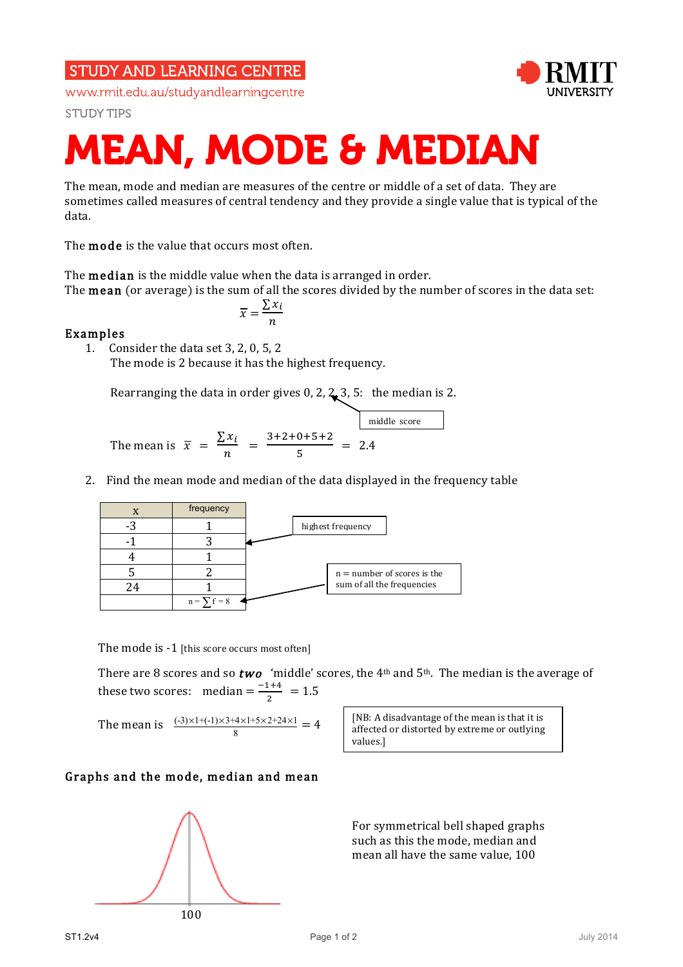## **STUDY AND LEARNING CENTRE**

www.rmit.edu.au/studyandlearningcentre

**STUDY TIPS** 



# MEAN, MODE & MEDIAN

The mean, mode and median are measures of the centre or middle of a set of data. They are sometimes called measures of central tendency and they provide a single value that is typical of the data.

The **mode** is the value that occurs most often.

The median is the middle value when the data is arranged in order. The mean (or average) is the sum of all the scores divided by the number of scores in the data set:

$$
\overline{x} = \frac{\sum x_i}{n}
$$

### Examples

1. Consider the data set 3, 2, 0, 5, 2 The mode is 2 because it has the highest frequency.

Rearranging the data in order gives 0, 2,  $2, 3, 5$ : the median is 2.

The mean is 
$$
\overline{x} = \frac{\sum x_i}{n} = \frac{3+2+0+5+2}{5} = 2.4
$$

2. Find the mean mode and median of the data displayed in the frequency table



The mode is -1 [this score occurs most often]

There are 8 scores and so **two** 'middle' scores, the 4<sup>th</sup> and 5<sup>th</sup>. The median is the average of these two scores: median  $=\frac{-1+4}{2} = 1.5$ 

The mean is 
$$
\frac{(-3) \times 1 + (-1) \times 3 + 4 \times 1 + 5 \times 2 + 24 \times 1}{8} = 4
$$

[NB: A disadvantage of the mean is that it is affected or distorted by extreme or outlying values.]

#### Graphs and the mode, median and mean



For symmetrical bell shaped graphs such as this the mode, median and mean all have the same value, 100